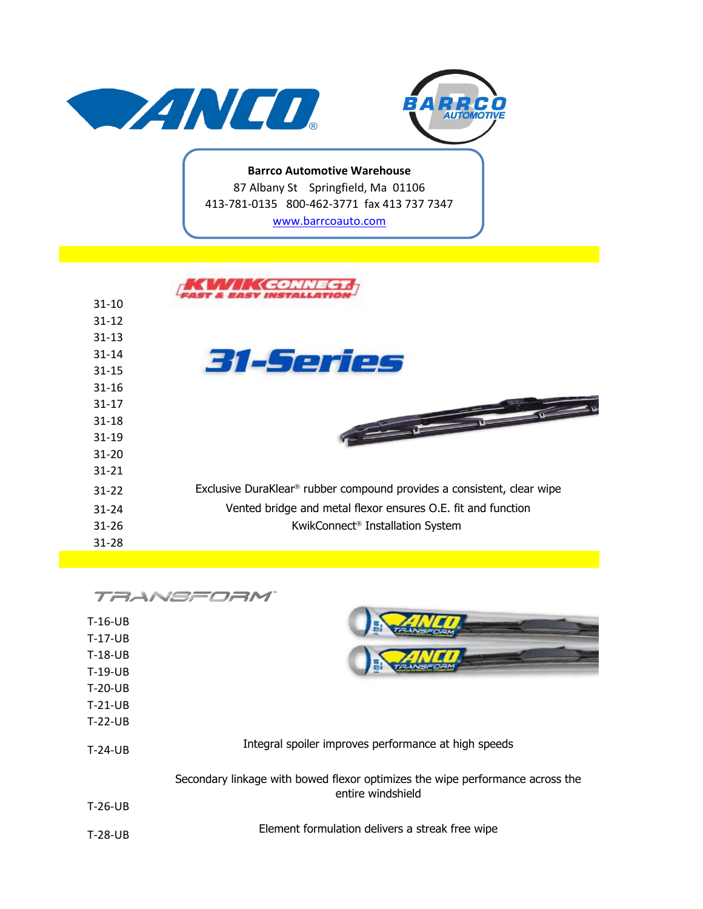



**Barrco Automotive Warehouse** 87 Albany St Springfield, Ma 01106 413-781-0135 800-462-3771 fax 413 737 7347 [w](http://www.barrcoauto.com/)ww.barrcoauto.com

| $31 - 10$ |                                                                                    |
|-----------|------------------------------------------------------------------------------------|
| $31 - 12$ |                                                                                    |
| $31 - 13$ |                                                                                    |
| $31 - 14$ | 31-Series                                                                          |
| $31 - 15$ |                                                                                    |
| $31 - 16$ |                                                                                    |
| $31 - 17$ |                                                                                    |
| $31 - 18$ |                                                                                    |
| $31 - 19$ |                                                                                    |
| $31 - 20$ |                                                                                    |
| $31 - 21$ |                                                                                    |
| $31 - 22$ | Exclusive DuraKlear <sup>®</sup> rubber compound provides a consistent, clear wipe |
| $31 - 24$ | Vented bridge and metal flexor ensures O.E. fit and function                       |
| $31 - 26$ | KwikConnect <sup>®</sup> Installation System                                       |
| $31 - 28$ |                                                                                    |

|           | TAANSFOAI                                                                                          |
|-----------|----------------------------------------------------------------------------------------------------|
| $T-16-UB$ |                                                                                                    |
| $T-17-UB$ |                                                                                                    |
| $T-18-UB$ |                                                                                                    |
| $T-19-UB$ |                                                                                                    |
| $T-20-UB$ |                                                                                                    |
| $T-21-UB$ |                                                                                                    |
| $T-22-UB$ |                                                                                                    |
| $T-24-UB$ | Integral spoiler improves performance at high speeds                                               |
|           | Secondary linkage with bowed flexor optimizes the wipe performance across the<br>entire windshield |
| $T-26-UB$ |                                                                                                    |
| $T-28-UB$ | Element formulation delivers a streak free wipe                                                    |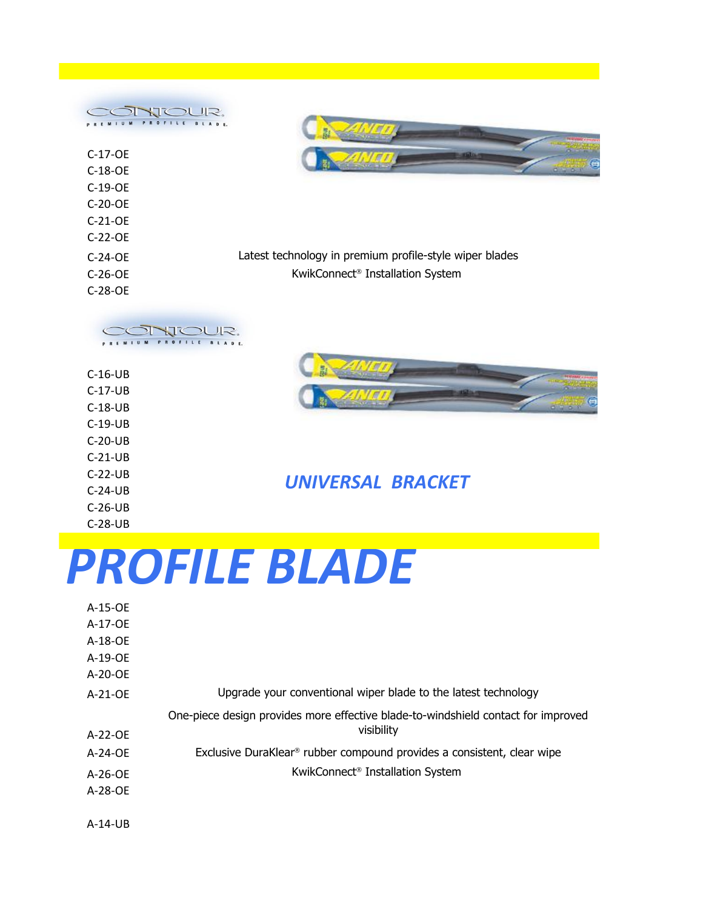| JOUR,<br>BLADE.<br>PROFILE |                                                         |
|----------------------------|---------------------------------------------------------|
| $C-17-CE$                  |                                                         |
| $C-18-OE$                  | G<br>$-76$                                              |
| $C-19-OE$                  |                                                         |
| $C-20-OE$                  |                                                         |
| $C-21-OE$                  |                                                         |
| $C-22-OE$                  |                                                         |
| $C-24-OE$                  | Latest technology in premium profile-style wiper blades |
| $C-26-OE$                  | KwikConnect <sup>®</sup> Installation System            |
| $C-28-OE$                  |                                                         |
|                            |                                                         |



| <b>C-10-00</b> |
|----------------|
| $C-17-UB$      |
| $C-18-UB$      |
| $C-19-UB$      |
| $C-20-UB$      |
| $C-21-UB$      |
| $C-22-UB$      |
| $C-24-UB$      |
| $C-26-UB$      |
| $C-28-UB$      |

A-14-UB

*UNIVERSAL BRACKET*

## *PROFILE BLADE*

| A-15-OE   |                                                                                    |
|-----------|------------------------------------------------------------------------------------|
| A-17-OE   |                                                                                    |
| $A-18-OE$ |                                                                                    |
| $A-19-OE$ |                                                                                    |
| $A-20-OE$ |                                                                                    |
| A-21-OE   | Upgrade your conventional wiper blade to the latest technology                     |
|           | One-piece design provides more effective blade-to-windshield contact for improved  |
|           |                                                                                    |
| $A-22-OE$ | visibility                                                                         |
| $A-24-OE$ | Exclusive DuraKlear <sup>®</sup> rubber compound provides a consistent, clear wipe |
| $A-26-OE$ | KwikConnect <sup>®</sup> Installation System                                       |
| $A-28-OE$ |                                                                                    |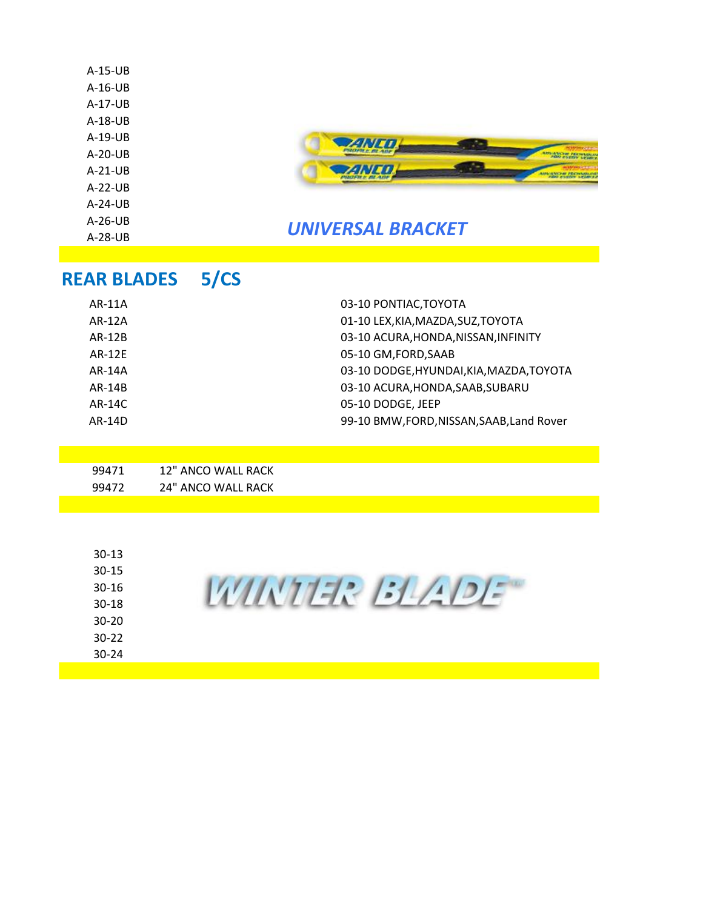| $A-15-UB$<br>$A-16-UB$<br>$A-17-UB$<br>$A-18-UB$<br>$A-19-UB$<br>$A-20-UB$<br>$A-21-UB$<br>$A-22-UB$<br>$A-24-UB$<br>$A-26-UB$<br>$A-28-UB$ |      | <b>UNIVERSAL BRACKET</b>                 |
|---------------------------------------------------------------------------------------------------------------------------------------------|------|------------------------------------------|
| <b>REAR BLADES</b>                                                                                                                          | 5/CS |                                          |
| AR-11A                                                                                                                                      |      | 03-10 PONTIAC, TOYOTA                    |
| AR-12A                                                                                                                                      |      | 01-10 LEX, KIA, MAZDA, SUZ, TOYOTA       |
| <b>AR-12B</b>                                                                                                                               |      | 03-10 ACURA, HONDA, NISSAN, INFINITY     |
| <b>AR-12E</b>                                                                                                                               |      | 05-10 GM, FORD, SAAB                     |
| AR-14A                                                                                                                                      |      | 03-10 DODGE, HYUNDAI, KIA, MAZDA, TOYOTA |

| $30 - 13$<br>$30 - 15$ |  |
|------------------------|--|
| $30 - 16$              |  |
| $30 - 18$              |  |
| $30 - 20$              |  |
| $30 - 22$              |  |
| $30 - 24$              |  |
|                        |  |

AR-14B 03-10 ACURA,HONDA,SAAB,SUBARU

AR-14D 99-10 BMW, FORD, NISSAN, SAAB, Land Rover

AR-14C 05-10 DODGE, JEEP

99471 12" ANCO WALL RACK 99472 24" ANCO WALL RACK